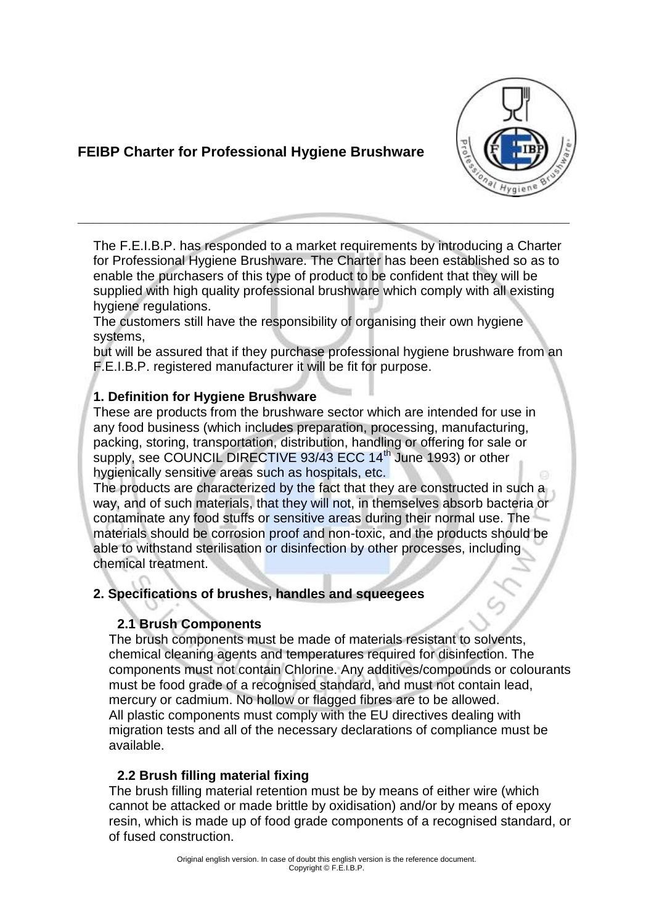# **FEIBP Charter for Professional Hygiene Brushware**



The F.E.I.B.P. has responded to a market requirements by introducing a Charter for Professional Hygiene Brushware. The Charter has been established so as to enable the purchasers of this type of product to be confident that they will be supplied with high quality professional brushware which comply with all existing hygiene regulations.

**\_\_\_\_\_\_\_\_\_\_\_\_\_\_\_\_\_\_\_\_\_\_\_\_\_\_\_\_\_\_\_\_\_\_\_\_\_\_\_\_\_\_\_\_\_\_\_\_\_\_\_\_\_\_\_\_\_\_\_\_\_\_**

The customers still have the responsibility of organising their own hygiene systems,

but will be assured that if they purchase professional hygiene brushware from an F.E.I.B.P. registered manufacturer it will be fit for purpose.

### **1. Definition for Hygiene Brushware**

These are products from the brushware sector which are intended for use in any food business (which includes preparation, processing, manufacturing, packing, storing, transportation, distribution, handling or offering for sale or supply, see COUNCIL DIRECTIVE 93/43 ECC 14<sup>th</sup> June 1993) or other hygienically sensitive areas such as hospitals, etc.

The products are characterized by the fact that they are constructed in such a way, and of such materials, that they will not, in themselves absorb bacteria or contaminate any food stuffs or sensitive areas during their normal use. The materials should be corrosion proof and non-toxic, and the products should be able to withstand sterilisation or disinfection by other processes, including chemical treatment.

### **2. Specifications of brushes, handles and squeegees**

### **2.1 Brush Components**

The brush components must be made of materials resistant to solvents, chemical cleaning agents and temperatures required for disinfection. The components must not contain Chlorine. Any additives/compounds or colourants must be food grade of a recognised standard, and must not contain lead, mercury or cadmium. No hollow or flagged fibres are to be allowed. All plastic components must comply with the EU directives dealing with migration tests and all of the necessary declarations of compliance must be available.

## **2.2 Brush filling material fixing**

The brush filling material retention must be by means of either wire (which cannot be attacked or made brittle by oxidisation) and/or by means of epoxy resin, which is made up of food grade components of a recognised standard, or of fused construction.